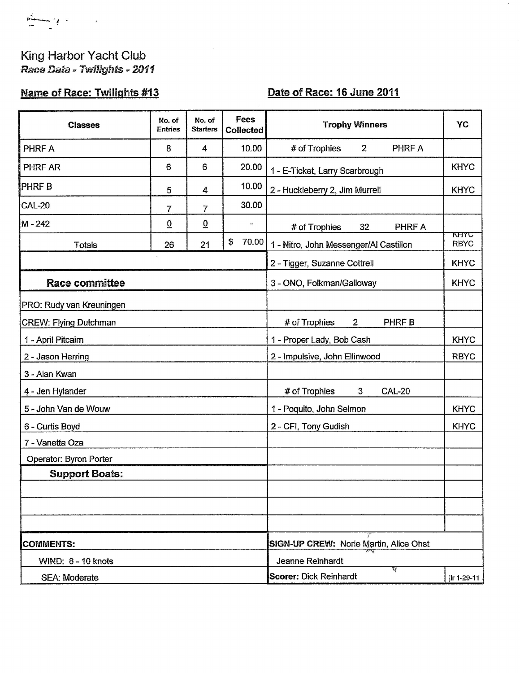$\sum_{i=1}^N$  $\sim$  12  $\sim$  $\overline{\phantom{a}}$ 

## King Harbor Yacht Club<br>Race Data - Twilights - 2011

## **Name of Race: Twilights #13**

## Date of Race: 16 June 2011

| <b>Classes</b>               | No. of<br><b>Entries</b> | No. of<br><b>Starters</b> | Fees<br><b>Collected</b> | <b>Trophy Winners</b>                          | YC                  |
|------------------------------|--------------------------|---------------------------|--------------------------|------------------------------------------------|---------------------|
| PHRF A                       | 8                        | 4                         | 10.00                    | # of Trophies<br>PHRF A<br>$\overline{2}$      |                     |
| <b>PHRF AR</b>               | 6                        | 6                         | 20.00                    | 1 - E-Ticket, Larry Scarbrough                 | <b>KHYC</b>         |
| <b>PHRF B</b>                | 5                        | 4                         | 10.00                    | 2 - Huckleberry 2, Jim Murrell                 | <b>KHYC</b>         |
| <b>CAL-20</b>                | $\overline{7}$           | 7                         | 30.00                    |                                                |                     |
| M - 242                      | $\overline{0}$           | $\overline{0}$            | $\overline{\phantom{a}}$ | PHRF A<br># of Trophies<br>32                  |                     |
| <b>Totals</b>                | 26                       | 21                        | \$<br>70.00              | 1 - Nitro, John Messenger/Al Castillon         | KHYU<br><b>RBYC</b> |
|                              |                          |                           |                          | 2 - Tigger, Suzanne Cottrell                   | <b>KHYC</b>         |
| <b>Race committee</b>        |                          |                           |                          | 3 - ONO, Folkman/Galloway                      | <b>KHYC</b>         |
| PRO: Rudy van Kreuningen     |                          |                           |                          |                                                |                     |
| <b>CREW: Flying Dutchman</b> |                          |                           |                          | # of Trophies<br>PHRF B<br>$\overline{2}$      |                     |
| 1 - April Pitcairn           |                          |                           |                          | 1 - Proper Lady, Bob Cash                      | <b>KHYC</b>         |
| 2 - Jason Herring            |                          |                           |                          | 2 - Impulsive, John Ellinwood                  | <b>RBYC</b>         |
| 3 - Alan Kwan                |                          |                           |                          |                                                |                     |
| 4 - Jen Hylander             |                          |                           |                          | # of Trophies<br>$\mathbf{3}$<br><b>CAL-20</b> |                     |
| 5 - John Van de Wouw         |                          |                           |                          | 1 - Poquito, John Selmon                       | <b>KHYC</b>         |
| 6 - Curtis Boyd              |                          |                           |                          | 2 - CFI, Tony Gudish                           | <b>KHYC</b>         |
| 7 - Vanetta Oza              |                          |                           |                          |                                                |                     |
| Operator: Byron Porter       |                          |                           |                          |                                                |                     |
| <b>Support Boats:</b>        |                          |                           |                          |                                                |                     |
|                              |                          |                           |                          |                                                |                     |
|                              |                          |                           |                          |                                                |                     |
|                              |                          |                           |                          |                                                |                     |
| <b>COMMENTS:</b>             |                          |                           |                          | <b>SIGN-UP CREW: Norie Martin, Alice Ohst</b>  |                     |
| WIND: 8 - 10 knots           |                          |                           |                          | Jeanne Reinhardt                               |                     |
| <b>SEA: Moderate</b>         |                          |                           |                          | W<br><b>Scorer: Dick Reinhardt</b>             | jlr 1-29-11         |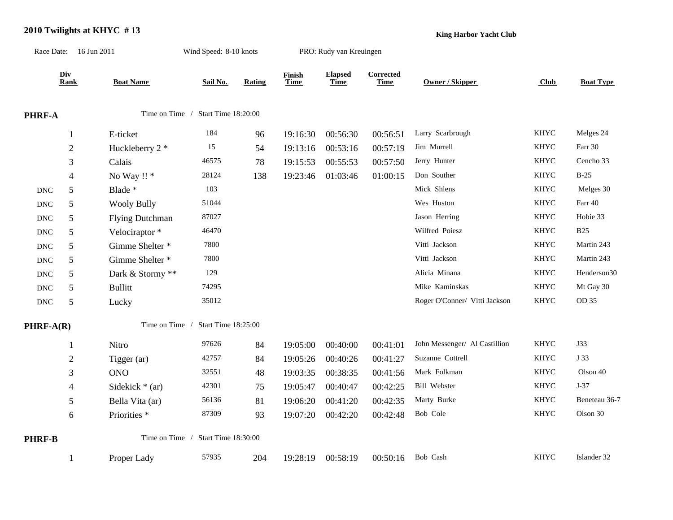## **2010 Twilights at KHYC # 13** Race Date: 16 Jun 2011 Wind Speed: 8-10 knots PRO: Rudy van Kreuingen

**King Harbor Yacht Club**

|                                                        | Div<br>Rank    | <b>Boat Name</b>        | Sail No.            | Rating | Finish<br>Time | <b>Elapsed</b><br>Time | <b>Corrected</b><br>Time | Owner / Skipper               | <b>Club</b> | <b>Boat Type</b> |
|--------------------------------------------------------|----------------|-------------------------|---------------------|--------|----------------|------------------------|--------------------------|-------------------------------|-------------|------------------|
| Time on Time / Start Time 18:20:00<br>PHRF-A           |                |                         |                     |        |                |                        |                          |                               |             |                  |
|                                                        | $\mathbf{1}$   | E-ticket                | 184                 | 96     | 19:16:30       | 00:56:30               | 00:56:51                 | Larry Scarbrough              | <b>KHYC</b> | Melges 24        |
|                                                        | $\mathbf{2}$   | Huckleberry 2 *         | 15                  | 54     | 19:13:16       | 00:53:16               | 00:57:19                 | Jim Murrell                   | <b>KHYC</b> | Farr 30          |
|                                                        | 3              | Calais                  | 46575               | 78     | 19:15:53       | 00:55:53               | 00:57:50                 | Jerry Hunter                  | <b>KHYC</b> | Cencho 33        |
|                                                        | $\overline{4}$ | No Way !! *             | 28124               | 138    | 19:23:46       | 01:03:46               | 01:00:15                 | Don Souther                   | <b>KHYC</b> | $B-25$           |
| $\ensuremath{\text{DNC}}$                              | 5              | Blade *                 | 103                 |        |                |                        |                          | Mick Shlens                   | <b>KHYC</b> | Melges 30        |
| <b>DNC</b>                                             | $\mathfrak{S}$ | <b>Wooly Bully</b>      | 51044               |        |                |                        |                          | Wes Huston                    | <b>KHYC</b> | Farr 40          |
| $\operatorname{DNC}$                                   | $\sqrt{5}$     | <b>Flying Dutchman</b>  | 87027               |        |                |                        |                          | Jason Herring                 | <b>KHYC</b> | Hobie 33         |
| $\operatorname{DNC}$                                   | 5              | Velociraptor *          | 46470               |        |                |                        |                          | Wilfred Poiesz                | <b>KHYC</b> | <b>B25</b>       |
| $\operatorname{DNC}$                                   | 5              | Gimme Shelter *         | 7800                |        |                |                        |                          | Vitti Jackson                 | <b>KHYC</b> | Martin 243       |
| $\operatorname{DNC}$                                   | 5              | Gimme Shelter *         | 7800                |        |                |                        |                          | Vitti Jackson                 | <b>KHYC</b> | Martin 243       |
| $\operatorname{DNC}$                                   | 5              | Dark & Stormy **        | 129                 |        |                |                        |                          | Alicia Minana                 | <b>KHYC</b> | Henderson30      |
| $\operatorname{DNC}$                                   | 5              | <b>Bullitt</b>          | 74295               |        |                |                        |                          | Mike Kaminskas                | <b>KHYC</b> | Mt Gay 30        |
| $\operatorname{DNC}$                                   | $\mathfrak{S}$ | Lucky                   | 35012               |        |                |                        |                          | Roger O'Conner/ Vitti Jackson | <b>KHYC</b> | OD 35            |
| $PHRF-A(R)$                                            |                | Time on Time /          | Start Time 18:25:00 |        |                |                        |                          |                               |             |                  |
|                                                        | $\mathbf{1}$   | Nitro                   | 97626               | 84     | 19:05:00       | 00:40:00               | 00:41:01                 | John Messenger/ Al Castillion | <b>KHYC</b> | J33              |
|                                                        | $\mathfrak{2}$ | Tigger (ar)             | 42757               | 84     | 19:05:26       | 00:40:26               | 00:41:27                 | Suzanne Cottrell              | <b>KHYC</b> | J 33             |
|                                                        | 3              | <b>ONO</b>              | 32551               | 48     | 19:03:35       | 00:38:35               | 00:41:56                 | Mark Folkman                  | <b>KHYC</b> | Olson 40         |
|                                                        | $\overline{4}$ | Sidekick $*(ar)$        | 42301               | 75     | 19:05:47       | 00:40:47               | 00:42:25                 | Bill Webster                  | <b>KHYC</b> | $J-37$           |
|                                                        | 5              | Bella Vita (ar)         | 56136               | 81     | 19:06:20       | 00:41:20               | 00:42:35                 | Marty Burke                   | <b>KHYC</b> | Beneteau 36-7    |
|                                                        | 6              | Priorities <sup>*</sup> | 87309               | 93     | 19:07:20       | 00:42:20               | 00:42:48                 | Bob Cole                      | <b>KHYC</b> | Olson 30         |
| Time on Time /<br>Start Time 18:30:00<br><b>PHRF-B</b> |                |                         |                     |        |                |                        |                          |                               |             |                  |
|                                                        | $\mathbf{1}$   | Proper Lady             | 57935               | 204    | 19:28:19       | 00:58:19               | 00:50:16                 | Bob Cash                      | <b>KHYC</b> | Islander 32      |